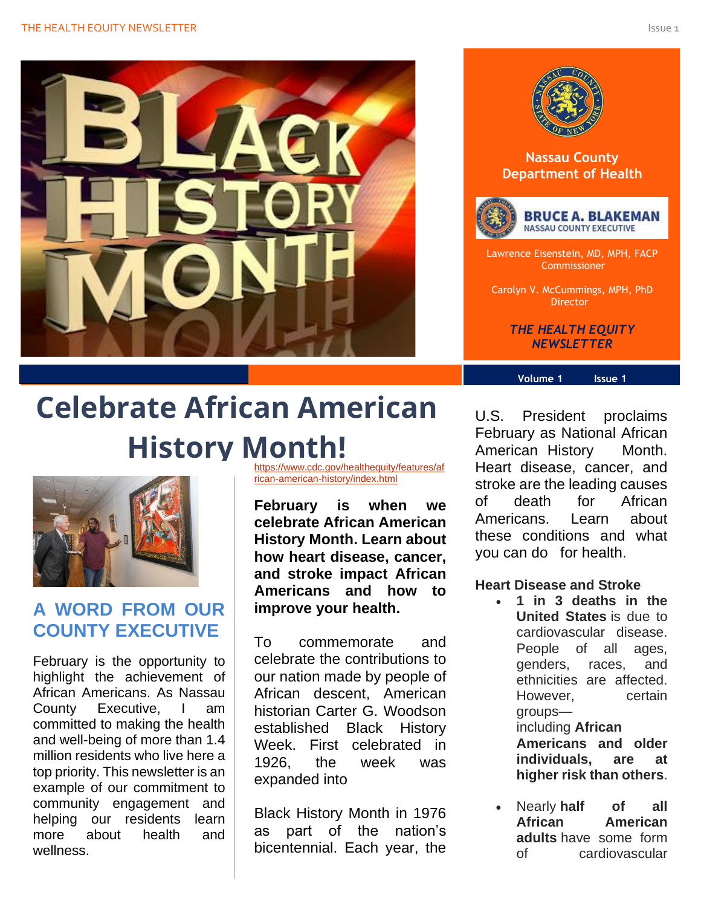



#### **Nassau County Department of Health**





Lawrence Eisenstein, MD, MPH, FACP Commissioner

Carolyn V. McCummings, MPH, PhD Director

> *THE HEALTH EQUITY NEWSLETTER*

#### **Volume 1 Issue 1**

# **Celebrate African American History Month!**



# **A WORD FROM OUR COUNTY EXECUTIVE**

February is the opportunity to highlight the achievement of African Americans. As Nassau County Executive, I am committed to making the health and well-being of more than 1.4 million residents who live here a top priority. This newsletter is an example of our commitment to community engagement and helping our residents learn more about health and wellness.

[https://www.cdc.gov/healthequity/features/af](https://www.cdc.gov/healthequity/features/african-american-history/index.html) [rican-american-history/index.html](https://www.cdc.gov/healthequity/features/african-american-history/index.html)

**February is when we celebrate African American History Month. Learn about how heart disease, cancer, and stroke impact African Americans and how to improve your health.**

To commemorate and celebrate the contributions to our nation made by people of African descent, American historian Carter G. Woodson established Black History Week. First celebrated in 1926, the week was expanded into

Black History Month in 1976 as part of the nation's bicentennial. Each year, the

U.S. President proclaims February as National African American History Month. Heart disease, cancer, and stroke are the leading causes of death for African Americans. Learn about these conditions and what you can do for health.

**Heart Disease and Stroke**

- **1 in 3 deaths in the United States** is due to cardiovascular disease. People of all ages, genders, races, and ethnicities are affected. However, certain groups including **African Americans and older individuals, are at higher risk than others**.
- Nearly **half of all African American adults** have some form of cardiovascular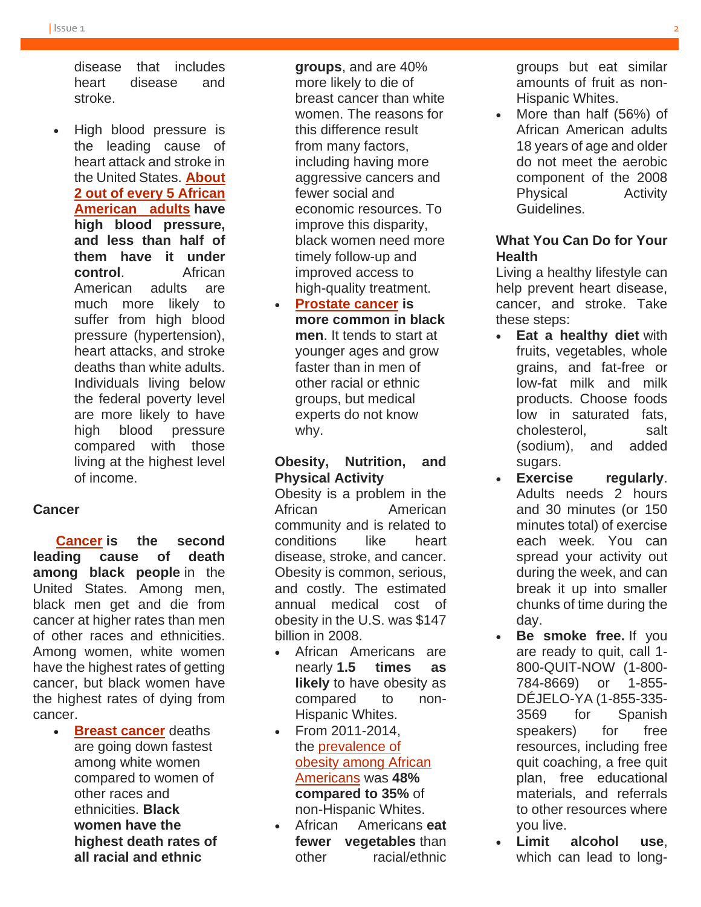disease that includes heart disease and stroke.

• High blood pressure is the leading cause of heart attack and stroke in the United States. **[About](https://www.cdc.gov/dhdsp/data_statistics/fact_sheets/fs_aa.htm)  [2 out of every 5 African](https://www.cdc.gov/dhdsp/data_statistics/fact_sheets/fs_aa.htm)  [American adults](https://www.cdc.gov/dhdsp/data_statistics/fact_sheets/fs_aa.htm) have high blood pressure, and less than half of them have it under control**. African American adults are much more likely to suffer from high blood pressure (hypertension), heart attacks, and stroke deaths than white adults. Individuals living below the federal poverty level are more likely to have high blood pressure compared with those living at the highest level of income.

#### **Cancer**

 **[Cancer](https://www.cdc.gov/cancer/) is the second leading cause of death among black people** in the United States. Among men, black men get and die from cancer at higher rates than men of other races and ethnicities. Among women, white women have the highest rates of getting cancer, but black women have the highest rates of dying from cancer.

> • **[Breast cancer](https://www.cdc.gov/cancer/breast/)** deaths are going down fastest among white women compared to women of other races and ethnicities. **Black women have the highest death rates of all racial and ethnic**

**groups**, and are 40% more likely to die of breast cancer than white women. The reasons for this difference result from many factors, including having more aggressive cancers and fewer social and economic resources. To improve this disparity, black women need more timely follow-up and improved access to high-quality treatment.

• **[Prostate cancer](https://www.cdc.gov/cancer/prostate/) is more common in black men**. It tends to start at younger ages and grow faster than in men of other racial or ethnic groups, but medical experts do not know why.

#### **Obesity, Nutrition, and Physical Activity**

Obesity is a problem in the African American community and is related to conditions like heart disease, stroke, and cancer. Obesity is common, serious, and costly. The estimated annual medical cost of obesity in the U.S. was \$147 billion in 2008.

- African Americans are nearly **1.5 times as likely** to have obesity as compared to non-Hispanic Whites.
- From 2011-2014, the [prevalence of](https://www.cdc.gov/obesity/data/adult.html)  [obesity among African](https://www.cdc.gov/obesity/data/adult.html)  [Americans](https://www.cdc.gov/obesity/data/adult.html) was **48% compared to 35%** of non-Hispanic Whites.
- African Americans **eat fewer vegetables** than other racial/ethnic

groups but eat similar amounts of fruit as non-Hispanic Whites.

• More than half (56%) of African American adults 18 years of age and older do not meet the aerobic component of the 2008 Physical Activity Guidelines.

### **What You Can Do for Your Health**

Living a healthy lifestyle can help prevent heart disease, cancer, and stroke. Take these steps:

- **Eat a healthy diet** with fruits, vegetables, whole grains, and fat-free or low-fat milk and milk products. Choose foods low in saturated fats, cholesterol, salt (sodium), and added sugars.
- **Exercise regularly**. Adults needs 2 hours and 30 minutes (or 150 minutes total) of exercise each week. You can spread your activity out during the week, and can break it up into smaller chunks of time during the day.
- **Be smoke free.** If you are ready to quit, call 1- 800-QUIT-NOW (1-800- 784-8669) or 1-855- DÉJELO-YA (1-855-335- 3569 for Spanish speakers) for free resources, including free quit coaching, a free quit plan, free educational materials, and referrals to other resources where you live.
- **Limit alcohol use**, which can lead to long-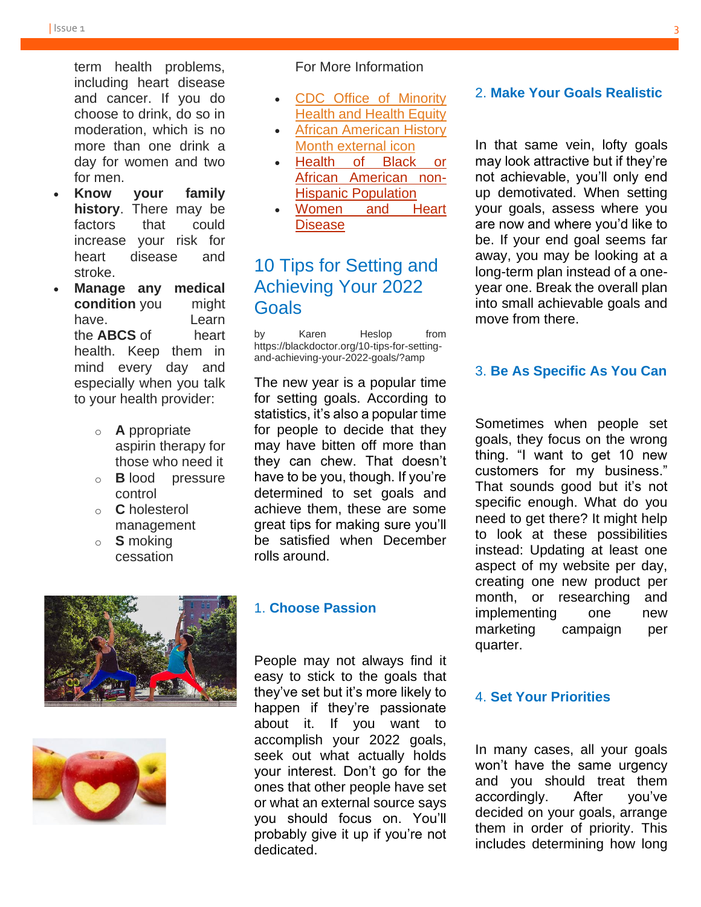term health problems, including heart disease and cancer. If you do choose to drink, do so in moderation, which is no more than one drink a day for women and two for men.

- **Know your family history**. There may be factors that could increase your risk for heart disease and stroke.
- **Manage any medical condition** you might have. Learn the **ABCS** of heart health. Keep them in mind every day and especially when you talk to your health provider:
	- o **A** ppropriate aspirin therapy for those who need it
	- o **B** lood pressure control
	- o **C** holesterol management
	- o **S** moking cessation





#### For More Information

- [CDC Office of Minority](https://www.cdc.gov/healthequity/features/african-american-history/minorityhealth/index.html)  [Health and Health Equity](https://www.cdc.gov/healthequity/features/african-american-history/minorityhealth/index.html)
- [African American History](http://africanamericanhistorymonth.gov/)  [Month external](http://africanamericanhistorymonth.gov/) icon
- [Health of Black or](https://www.cdc.gov/nchs/fastats/black-health.htm)  [African American non-](https://www.cdc.gov/nchs/fastats/black-health.htm)[Hispanic Population](https://www.cdc.gov/nchs/fastats/black-health.htm)
- [Women and Heart](https://www.cdc.gov/healthequity/features/african-american-history/features/wearred/index.html)  [Disease](https://www.cdc.gov/healthequity/features/african-american-history/features/wearred/index.html)

# 10 Tips for Setting and Achieving Your 2022 Goals

by Karen Heslop from https://blackdoctor.org/10-tips-for-settingand-achieving-your-2022-goals/?amp

The new year is a popular time for setting goals. According to statistics, it's also a popular time for people to decide that they may have bitten off more than they can chew. That doesn't have to be you, though. If you're determined to set goals and achieve them, these are some great tips for making sure you'll be satisfied when December rolls around.

#### 1. **Choose Passion**

People may not always find it easy to stick to the goals that they've set but it's more likely to happen if they're passionate about it. If you want to accomplish your 2022 goals, seek out what actually holds your interest. Don't go for the ones that other people have set or what an external source says you should focus on. You'll probably give it up if you're not dedicated.

#### 2. **Make Your Goals Realistic**

In that same vein, lofty goals may look attractive but if they're not achievable, you'll only end up demotivated. When setting your goals, assess where you are now and where you'd like to be. If your end goal seems far away, you may be looking at a long-term plan instead of a oneyear one. Break the overall plan into small achievable goals and move from there.

#### 3. **Be As Specific As You Can**

Sometimes when people set goals, they focus on the wrong thing. "I want to get 10 new customers for my business." That sounds good but it's not specific enough. What do you need to get there? It might help to look at these possibilities instead: Updating at least one aspect of my website per day, creating one new product per month, or researching and implementing one new marketing campaign per quarter.

#### 4. **Set Your Priorities**

In many cases, all your goals won't have the same urgency and you should treat them accordingly. After you've decided on your goals, arrange them in order of priority. This includes determining how long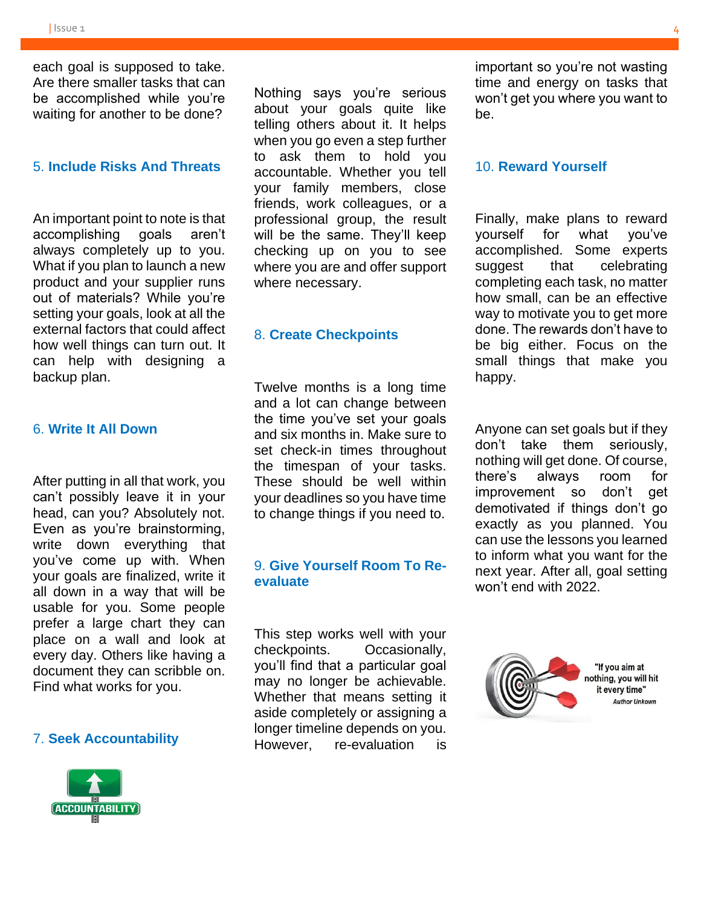each goal is supposed to take. Are there smaller tasks that can be accomplished while you're waiting for another to be done?

#### 5. **Include Risks And Threats**

An important point to note is that accomplishing goals aren't always completely up to you. What if you plan to launch a new product and your supplier runs out of materials? While you're setting your goals, look at all the external factors that could affect how well things can turn out. It can help with designing a backup plan.

#### 6. **Write It All Down**

After putting in all that work, you can't possibly leave it in your head, can you? Absolutely not. Even as you're brainstorming, write down everything that you've come up with. When your goals are finalized, write it all down in a way that will be usable for you. Some people prefer a large chart they can place on a wall and look at every day. Others like having a document they can scribble on. Find what works for you.

#### 7. **Seek Accountability**



Nothing says you're serious about your goals quite like telling others about it. It helps when you go even a step further to ask them to hold you accountable. Whether you tell your family members, close friends, work colleagues, or a professional group, the result will be the same. They'll keep checking up on you to see where you are and offer support where necessary.

#### 8. **Create Checkpoints**

Twelve months is a long time and a lot can change between the time you've set your goals and six months in. Make sure to set check-in times throughout the timespan of your tasks. These should be well within your deadlines so you have time to change things if you need to.

#### 9. **Give Yourself Room To Reevaluate**

This step works well with your checkpoints. Occasionally, you'll find that a particular goal may no longer be achievable. Whether that means setting it aside completely or assigning a longer timeline depends on you. However, re-evaluation is

important so you're not wasting time and energy on tasks that won't get you where you want to be.

#### 10. **Reward Yourself**

Finally, make plans to reward yourself for what you've accomplished. Some experts suggest that celebrating completing each task, no matter how small, can be an effective way to motivate you to get more done. The rewards don't have to be big either. Focus on the small things that make you happy.

Anyone can set goals but if they don't take them seriously, nothing will get done. Of course, there's always room for improvement so don't get demotivated if things don't go exactly as you planned. You can use the lessons you learned to inform what you want for the next year. After all, goal setting won't end with 2022.

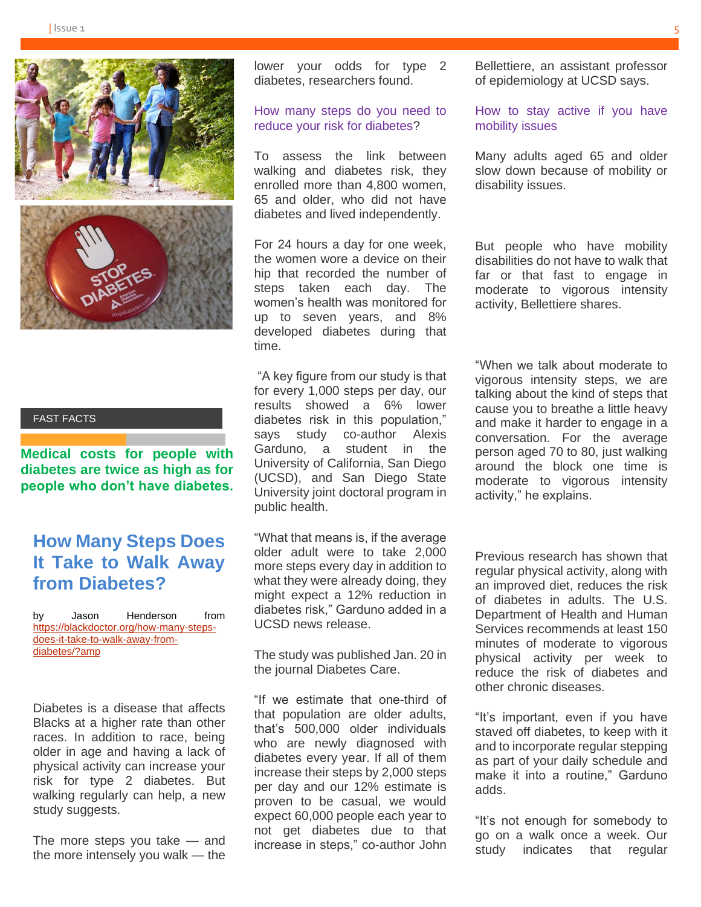

#### FAST FACTS

**Medical costs for people with diabetes are twice as high as for people who don't have diabetes.**

# **How Many Steps Does It Take to Walk Away from Diabetes?**

by Jason Henderson from [https://blackdoctor.org/how-many-steps](https://blackdoctor.org/how-many-steps-does-it-take-to-walk-away-from-diabetes/?amp)[does-it-take-to-walk-away-from](https://blackdoctor.org/how-many-steps-does-it-take-to-walk-away-from-diabetes/?amp)[diabetes/?amp](https://blackdoctor.org/how-many-steps-does-it-take-to-walk-away-from-diabetes/?amp)

Diabetes is a disease that affects Blacks at a higher rate than other races. In addition to race, being older in age and having a lack of physical activity can increase your risk for type 2 diabetes. But walking regularly can help, a new study suggests.

The more steps you take — and the more intensely you walk — the

lower your odds for type 2 diabetes, researchers found.

#### How many steps do you need to reduce your risk for diabetes?

To assess the link between walking and diabetes risk, they enrolled more than 4,800 women, 65 and older, who did not have diabetes and lived independently.

For 24 hours a day for one week, the women wore a device on their hip that recorded the number of steps taken each day. The women's health was monitored for up to seven years, and 8% developed diabetes during that time.

"A key figure from our study is that for every 1,000 steps per day, our results showed a 6% lower diabetes risk in this population," says study co-author Alexis Garduno, a student in the University of California, San Diego (UCSD), and San Diego State University joint doctoral program in public health.

"What that means is, if the average older adult were to take 2,000 more steps every day in addition to what they were already doing, they might expect a 12% reduction in diabetes risk," Garduno added in a UCSD news release.

The study was published Jan. 20 in the journal Diabetes Care.

"If we estimate that one-third of that population are older adults, that's 500,000 older individuals who are newly diagnosed with diabetes every year. If all of them increase their steps by 2,000 steps per day and our 12% estimate is proven to be casual, we would expect 60,000 people each year to not get diabetes due to that increase in steps," co-author John

Bellettiere, an assistant professor of epidemiology at UCSD says.

How to stay active if you have mobility issues

Many adults aged 65 and older slow down because of mobility or disability issues.

But people who have mobility disabilities do not have to walk that far or that fast to engage in moderate to vigorous intensity activity, Bellettiere shares.

"When we talk about moderate to vigorous intensity steps, we are talking about the kind of steps that cause you to breathe a little heavy and make it harder to engage in a conversation. For the average person aged 70 to 80, just walking around the block one time is moderate to vigorous intensity activity," he explains.

Previous research has shown that regular physical activity, along with an improved diet, reduces the risk of diabetes in adults. The U.S. Department of Health and Human Services recommends at least 150 minutes of moderate to vigorous physical activity per week to reduce the risk of diabetes and other chronic diseases.

"It's important, even if you have staved off diabetes, to keep with it and to incorporate regular stepping as part of your daily schedule and make it into a routine," Garduno adds.

"It's not enough for somebody to go on a walk once a week. Our study indicates that regular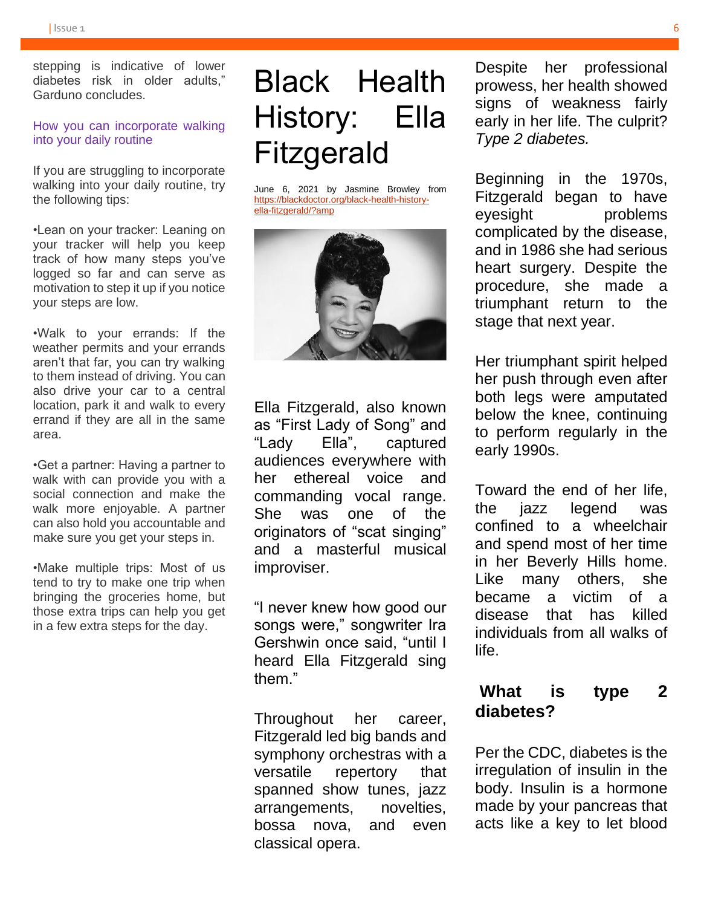stepping is indicative of lower diabetes risk in older adults," Garduno concludes.

#### How you can incorporate walking into your daily routine

If you are struggling to incorporate walking into your daily routine, try the following tips:

•Lean on your tracker: Leaning on your tracker will help you keep track of how many steps you've logged so far and can serve as motivation to step it up if you notice your steps are low.

•Walk to your errands: If the weather permits and your errands aren't that far, you can try walking to them instead of driving. You can also drive your car to a central location, park it and walk to every errand if they are all in the same area.

•Get a partner: Having a partner to walk with can provide you with a social connection and make the walk more enjoyable. A partner can also hold you accountable and make sure you get your steps in.

•Make multiple trips: Most of us tend to try to make one trip when bringing the groceries home, but those extra trips can help you get in a few extra steps for the day.

# Black Health History: Ella **Fitzgerald**

June 6, 2021 by Jasmine Browley from [https://blackdoctor.org/black-health-history](https://blackdoctor.org/black-health-history-ella-fitzgerald/?amp)[ella-fitzgerald/?amp](https://blackdoctor.org/black-health-history-ella-fitzgerald/?amp)



Ella Fitzgerald, also known as "First Lady of Song" and "Lady Ella", captured audiences everywhere with her ethereal voice and commanding vocal range. She was one of the originators of "scat singing" and a masterful musical improviser.

"I never knew how good our songs were," songwriter Ira Gershwin once said, "until I heard Ella Fitzgerald sing them."

Throughout her career, Fitzgerald led big bands and symphony orchestras with a versatile repertory that spanned show tunes, jazz arrangements, novelties, bossa nova, and even classical opera.

Despite her professional prowess, her health showed signs of weakness fairly early in her life. The culprit? *Type 2 diabetes.*

Beginning in the 1970s, Fitzgerald began to have eyesight problems complicated by the disease, and in 1986 she had serious heart surgery. Despite the procedure, she made a triumphant return to the stage that next year.

Her triumphant spirit helped her push through even after both legs were amputated below the knee, continuing to perform regularly in the early 1990s.

Toward the end of her life, the jazz legend was confined to a wheelchair and spend most of her time in her Beverly Hills home. Like many others, she became a victim of a disease that has killed individuals from all walks of life.

# **What is type 2 diabetes?**

Per the CDC, diabetes is the irregulation of insulin in the body. Insulin is a hormone made by your pancreas that acts like a key to let blood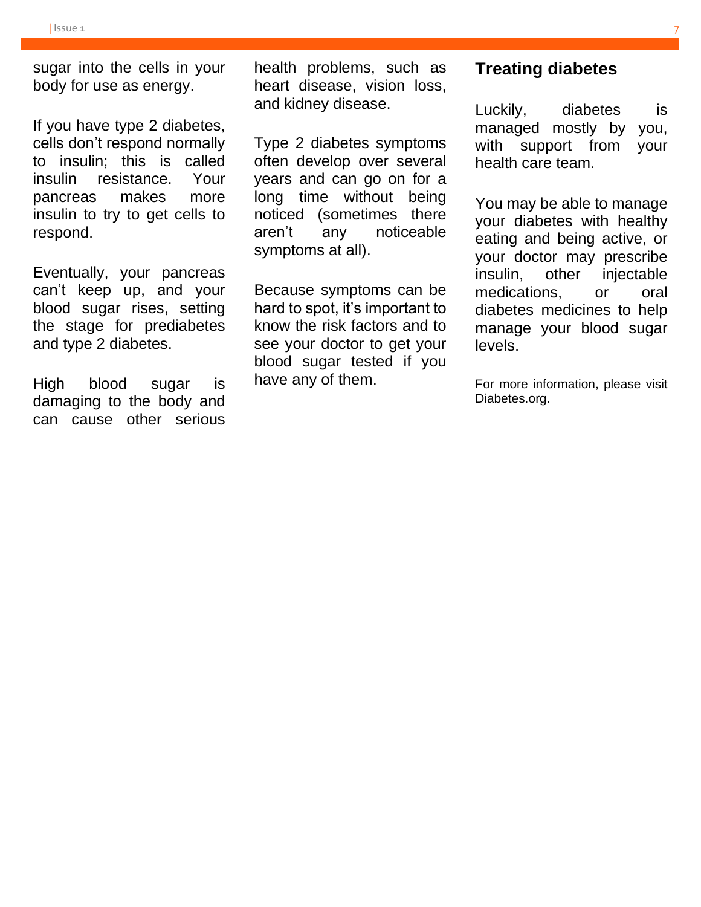sugar into the cells in your body for use as energy.

If you have type 2 diabetes, cells don't respond normally to insulin; this is called insulin resistance. Your pancreas makes more insulin to try to get cells to respond.

Eventually, your pancreas can't keep up, and your blood sugar rises, setting the stage for prediabetes and type 2 diabetes.

High blood sugar is damaging to the body and can cause other serious health problems, such as heart disease, vision loss, and kidney disease.

Type 2 diabetes symptoms often develop over several years and can go on for a long time without being noticed (sometimes there aren't any noticeable symptoms at all).

Because symptoms can be hard to spot, it's important to know the risk factors and to see your doctor to get your blood sugar tested if you have any of them.

## **Treating diabetes**

Luckily, diabetes is managed mostly by you, with support from your health care team.

You may be able to manage your diabetes with healthy eating and being active, or your doctor may prescribe insulin, other injectable medications, or oral diabetes medicines to help manage your blood sugar levels.

For more information, please visit Diabetes.org.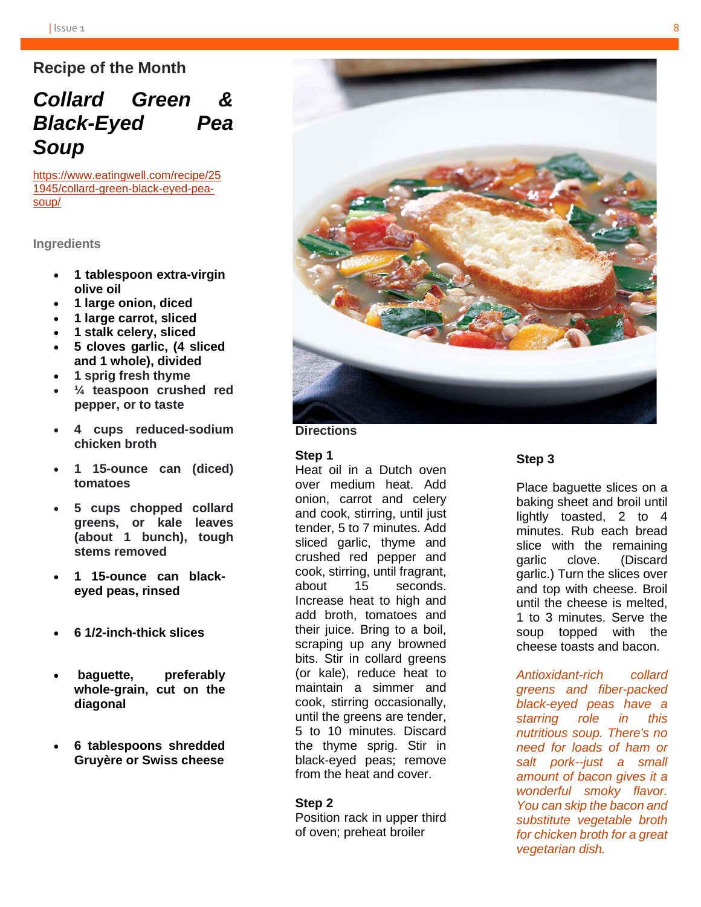## **Recipe of the Month**

# *Collard Green & Black-Eyed Pea Soup*

[https://www.eatingwell.com/recipe/25](https://www.eatingwell.com/recipe/251945/collard-green-black-eyed-pea-soup/) [1945/collard-green-black-eyed-pea](https://www.eatingwell.com/recipe/251945/collard-green-black-eyed-pea-soup/)[soup/](https://www.eatingwell.com/recipe/251945/collard-green-black-eyed-pea-soup/)

**Ingredients**

- **1 tablespoon extra-virgin olive oil**
- **1 large onion, diced**
- **1 large carrot, sliced**
- **1 stalk celery, sliced**
- **5 cloves garlic, (4 sliced and 1 whole), divided**
- **1 sprig fresh thyme**
- **¼ teaspoon crushed red pepper, or to taste**
- **4 cups reduced-sodium chicken broth**
- **1 15-ounce can (diced) tomatoes**
- **5 cups chopped collard greens, or kale leaves (about 1 bunch), tough stems removed**
- **1 15-ounce can blackeyed peas, rinsed**
- **6 1/2-inch-thick slices**
- **baguette, preferably whole-grain, cut on the diagonal**
- **6 tablespoons shredded Gruyère or Swiss cheese**



**Directions**

#### **Step 1**

Heat oil in a Dutch oven over medium heat. Add onion, carrot and celery and cook, stirring, until just tender, 5 to 7 minutes. Add sliced garlic, thyme and crushed red pepper and cook, stirring, until fragrant, about 15 seconds. Increase heat to high and add broth, tomatoes and their juice. Bring to a boil, scraping up any browned bits. Stir in collard greens (or kale), reduce heat to maintain a simmer and cook, stirring occasionally, until the greens are tender, 5 to 10 minutes. Discard the thyme sprig. Stir in black-eyed peas; remove from the heat and cover.

#### **Step 2**

Position rack in upper third of oven; preheat broiler

#### **Step 3**

Place baguette slices on a baking sheet and broil until lightly toasted, 2 to 4 minutes. Rub each bread slice with the remaining garlic clove. (Discard garlic.) Turn the slices over and top with cheese. Broil until the cheese is melted, 1 to 3 minutes. Serve the soup topped with the cheese toasts and bacon.

*Antioxidant-rich collard greens and fiber-packed black-eyed peas have a starring role in this nutritious soup. There's no need for loads of ham or salt pork--just a small amount of bacon gives it a wonderful smoky flavor. You can skip the bacon and substitute vegetable broth for chicken broth for a great vegetarian dish.*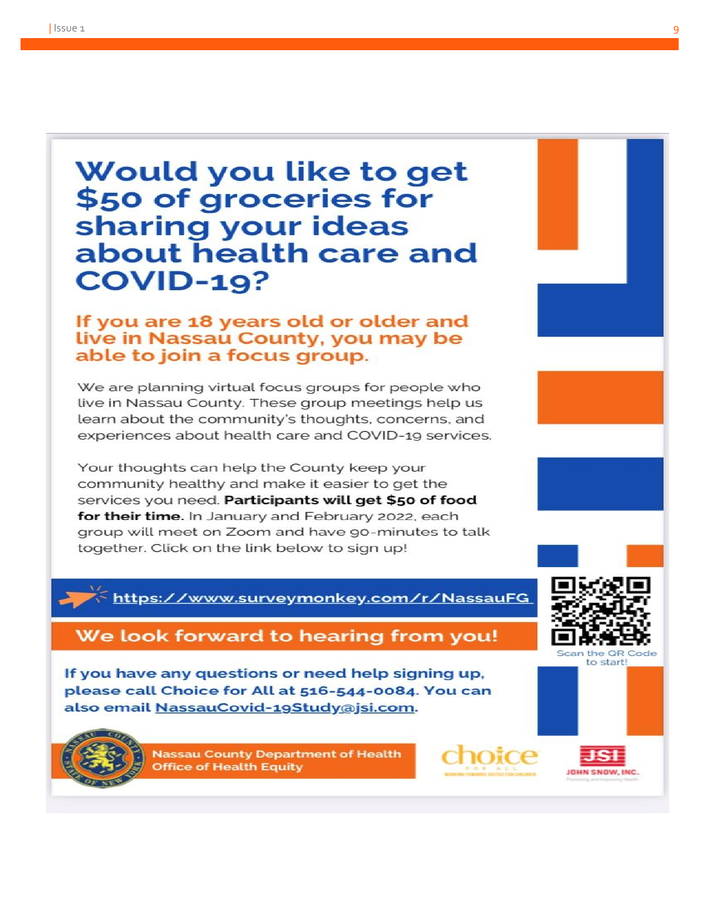# Would you like to get \$50 of groceries for sharing your ideas about health care and **COVID-19?**

## If you are 18 years old or older and live in Nassau County, you may be able to join a focus group.

We are planning virtual focus groups for people who live in Nassau County. These group meetings help us learn about the community's thoughts, concerns, and experiences about health care and COVID-19 services.

Your thoughts can help the County keep your community healthy and make it easier to get the services you need. Participants will get \$50 of food for their time. In January and February 2022, each group will meet on Zoom and have 90-minutes to talk together. Click on the link below to sign up!

## https://www.surveymonkey.com/r/NassauFG

# We look forward to hearing from you!

If you have any questions or need help signing up, please call Choice for All at 516-544-0084. You can also email NassauCovid-19Study@jsi.com.



**Nassau County Department of Health Office of Health Equity** 





Scan the OR Code to start!